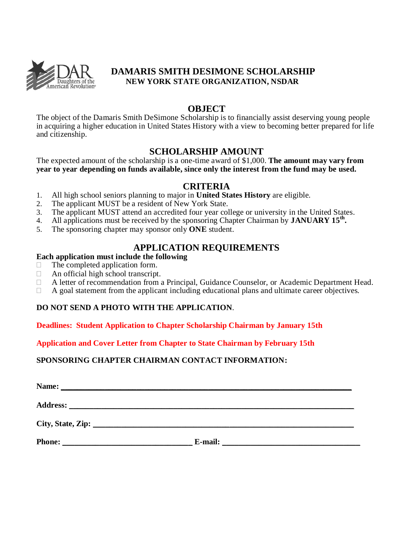

## **DAMARIS SMITH DESIMONE SCHOLARSHIP NEW YORK STATE ORGANIZATION, NSDAR**

# **OBJECT**

The object of the Damaris Smith DeSimone Scholarship is to financially assist deserving young people in acquiring a higher education in United States History with a view to becoming better prepared for life and citizenship.

## **SCHOLARSHIP AMOUNT**

The expected amount of the scholarship is a one-time award of \$1,000. **The amount may vary from year to year depending on funds available, since only the interest from the fund may be used.**

#### **CRITERIA**

- 1. All high school seniors planning to major in **United States History** are eligible.
- 2. The applicant MUST be a resident of New York State.
- 3. The applicant MUST attend an accredited four year college or university in the United States.
- 4. All applications must be received by the sponsoring Chapter Chairman by **JANUARY 15th .**
- 5. The sponsoring chapter may sponsor only **ONE** student.

# **APPLICATION REQUIREMENTS**

#### **Each application must include the following**

- $\Box$  The completed application form.
- $\Box$  An official high school transcript.
- A letter of recommendation from a Principal, Guidance Counselor, or Academic Department Head.
- $\Box$  A goal statement from the applicant including educational plans and ultimate career objectives.

#### **DO NOT SEND A PHOTO WITH THE APPLICATION**.

**Deadlines: Student Application to Chapter Scholarship Chairman by January 15th** 

**Application and Cover Letter from Chapter to State Chairman by February 15th**

**SPONSORING CHAPTER CHAIRMAN CONTACT INFORMATION:**